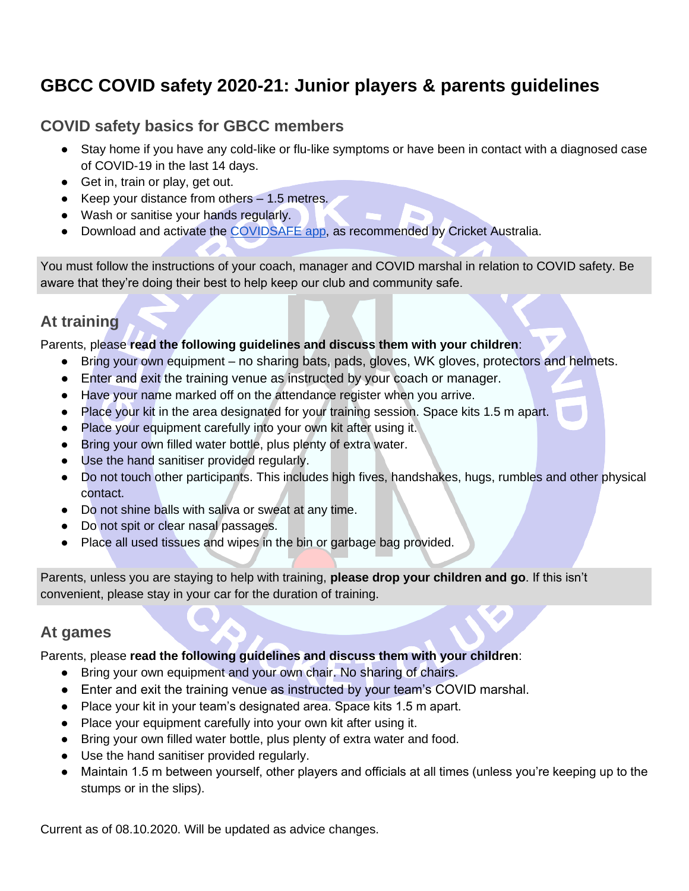# **GBCC COVID safety 2020-21: Junior players & parents guidelines**

## **COVID safety basics for GBCC members**

- Stay home if you have any cold-like or flu-like symptoms or have been in contact with a diagnosed case of COVID-19 in the last 14 days.
- Get in, train or play, get out.
- Keep your distance from others 1.5 metres.
- Wash or sanitise your hands regularly.
- Download and activate the [COVIDSAFE app,](https://www.health.gov.au/resources/apps-and-tools/covidsafe-app) as recommended by Cricket Australia.

You must follow the instructions of your coach, manager and COVID marshal in relation to COVID safety. Be aware that they're doing their best to help keep our club and community safe.

## **At training**

Parents, please **read the following guidelines and discuss them with your children**:

- Bring your own equipment no sharing bats, pads, gloves, WK gloves, protectors and helmets.
- Enter and exit the training venue as instructed by your coach or manager.
- Have your name marked off on the attendance register when you arrive.
- Place your kit in the area designated for your training session. Space kits 1.5 m apart.
- Place your equipment carefully into your own kit after using it.
- Bring your own filled water bottle, plus plenty of extra water.
- Use the hand sanitiser provided regularly.
- Do not touch other participants. This includes high fives, handshakes, hugs, rumbles and other physical contact.
- Do not shine balls with saliva or sweat at any time.
- Do not spit or clear nasal passages.
- Place all used tissues and wipes in the bin or garbage bag provided.

Parents, unless you are staying to help with training, **please drop your children and go**. If this isn't convenient, please stay in your car for the duration of training.

#### **At games**

Parents, please **read the following guidelines and discuss them with your children**:

- Bring your own equipment and your own chair. No sharing of chairs.
- Enter and exit the training venue as instructed by your team's COVID marshal.
- Place your kit in your team's designated area. Space kits 1.5 m apart.
- Place your equipment carefully into your own kit after using it.
- Bring your own filled water bottle, plus plenty of extra water and food.
- Use the hand sanitiser provided regularly.
- Maintain 1.5 m between yourself, other players and officials at all times (unless you're keeping up to the stumps or in the slips).

Current as of 08.10.2020. Will be updated as advice changes.